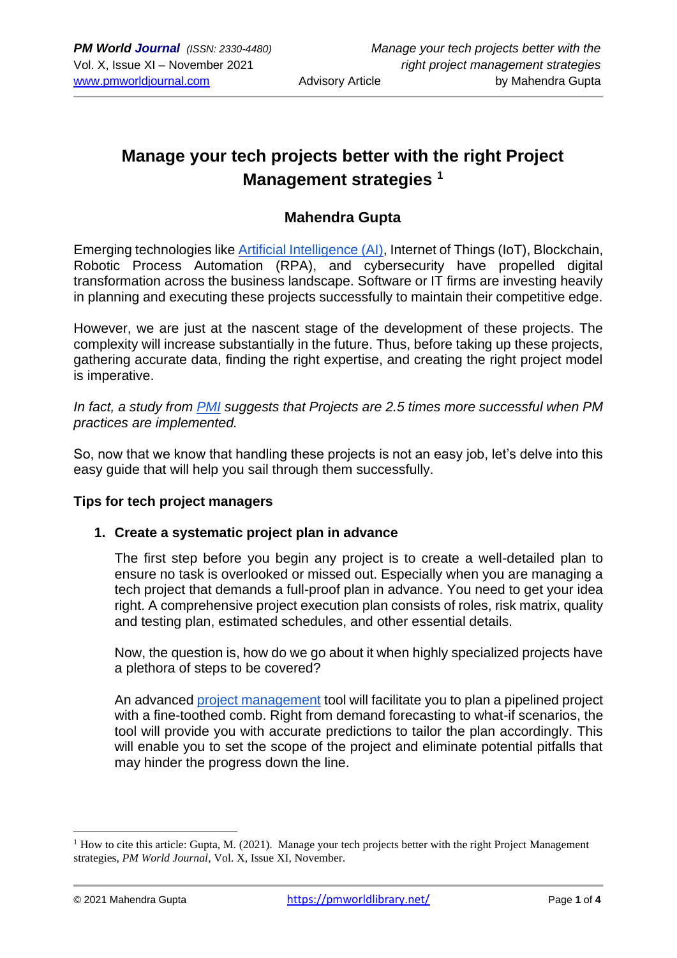# **Manage your tech projects better with the right Project Management strategies <sup>1</sup>**

### **Mahendra Gupta**

Emerging technologies like [Artificial Intelligence \(AI\),](https://pmworldlibrary.net/wp-content/uploads/2021/08/pmwj108-Aug2021-Arba-future-cost-and-productivity-estimating-uesing-artificial-intelligence.pdf) Internet of Things (IoT), Blockchain, Robotic Process Automation (RPA), and cybersecurity have propelled digital transformation across the business landscape. Software or IT firms are investing heavily in planning and executing these projects successfully to maintain their competitive edge.

However, we are just at the nascent stage of the development of these projects. The complexity will increase substantially in the future. Thus, before taking up these projects, gathering accurate data, finding the right expertise, and creating the right project model is imperative.

*In fact, a study from [PMI](https://www.pmi.org/-/media/pmi/documents/public/pdf/learning/thought-leadership/pulse/pulse-of-the-profession-2017.pdf) suggests that Projects are 2.5 times more successful when PM practices are implemented.*

So, now that we know that handling these projects is not an easy job, let's delve into this easy guide that will help you sail through them successfully.

#### **Tips for tech project managers**

#### **1. Create a systematic project plan in advance**

The first step before you begin any project is to create a well-detailed plan to ensure no task is overlooked or missed out. Especially when you are managing a tech project that demands a full-proof plan in advance. You need to get your idea right. A comprehensive project execution plan consists of roles, risk matrix, quality and testing plan, estimated schedules, and other essential details.

Now, the question is, how do we go about it when highly specialized projects have a plethora of steps to be covered?

An advanced [project management](https://pmworldjournal.com/article/project-management-pain-points-and-a-path-forward) tool will facilitate you to plan a pipelined project with a fine-toothed comb. Right from demand forecasting to what-if scenarios, the tool will provide you with accurate predictions to tailor the plan accordingly. This will enable you to set the scope of the project and eliminate potential pitfalls that may hinder the progress down the line.

<sup>&</sup>lt;sup>1</sup> How to cite this article: Gupta, M. (2021). Manage your tech projects better with the right Project Management strategies, *PM World Journal*, Vol. X, Issue XI, November.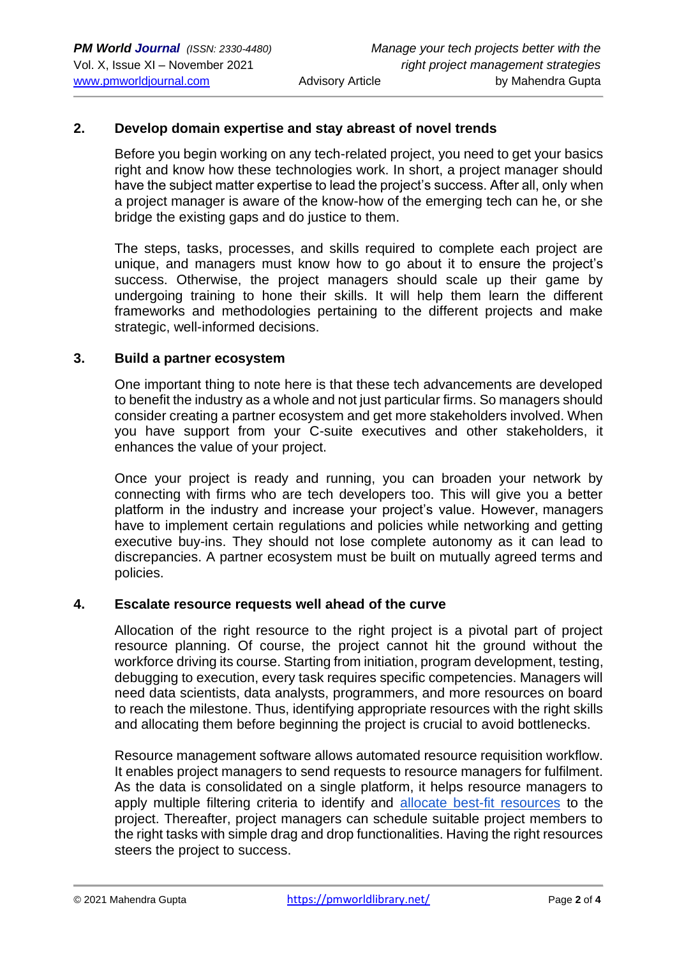#### **2. Develop domain expertise and stay abreast of novel trends**

Before you begin working on any tech-related project, you need to get your basics right and know how these technologies work. In short, a project manager should have the subject matter expertise to lead the project's success. After all, only when a project manager is aware of the know-how of the emerging tech can he, or she bridge the existing gaps and do justice to them.

The steps, tasks, processes, and skills required to complete each project are unique, and managers must know how to go about it to ensure the project's success. Otherwise, the project managers should scale up their game by undergoing training to hone their skills. It will help them learn the different frameworks and methodologies pertaining to the different projects and make strategic, well-informed decisions.

#### **3. Build a partner ecosystem**

One important thing to note here is that these tech advancements are developed to benefit the industry as a whole and not just particular firms. So managers should consider creating a partner ecosystem and get more stakeholders involved. When you have support from your C-suite executives and other stakeholders, it enhances the value of your project.

Once your project is ready and running, you can broaden your network by connecting with firms who are tech developers too. This will give you a better platform in the industry and increase your project's value. However, managers have to implement certain regulations and policies while networking and getting executive buy-ins. They should not lose complete autonomy as it can lead to discrepancies. A partner ecosystem must be built on mutually agreed terms and policies.

#### **4. Escalate resource requests well ahead of the curve**

Allocation of the right resource to the right project is a pivotal part of project resource planning. Of course, the project cannot hit the ground without the workforce driving its course. Starting from initiation, program development, testing, debugging to execution, every task requires specific competencies. Managers will need data scientists, data analysts, programmers, and more resources on board to reach the milestone. Thus, identifying appropriate resources with the right skills and allocating them before beginning the project is crucial to avoid bottlenecks.

Resource management software allows automated resource requisition workflow. It enables project managers to send requests to resource managers for fulfilment. As the data is consolidated on a single platform, it helps resource managers to apply multiple filtering criteria to identify and [allocate best-fit resources](https://www.saviom.com/blog/resource-allocation-a-guide-on-how-to-apply-it-on-project-management/) to the project. Thereafter, project managers can schedule suitable project members to the right tasks with simple drag and drop functionalities. Having the right resources steers the project to success.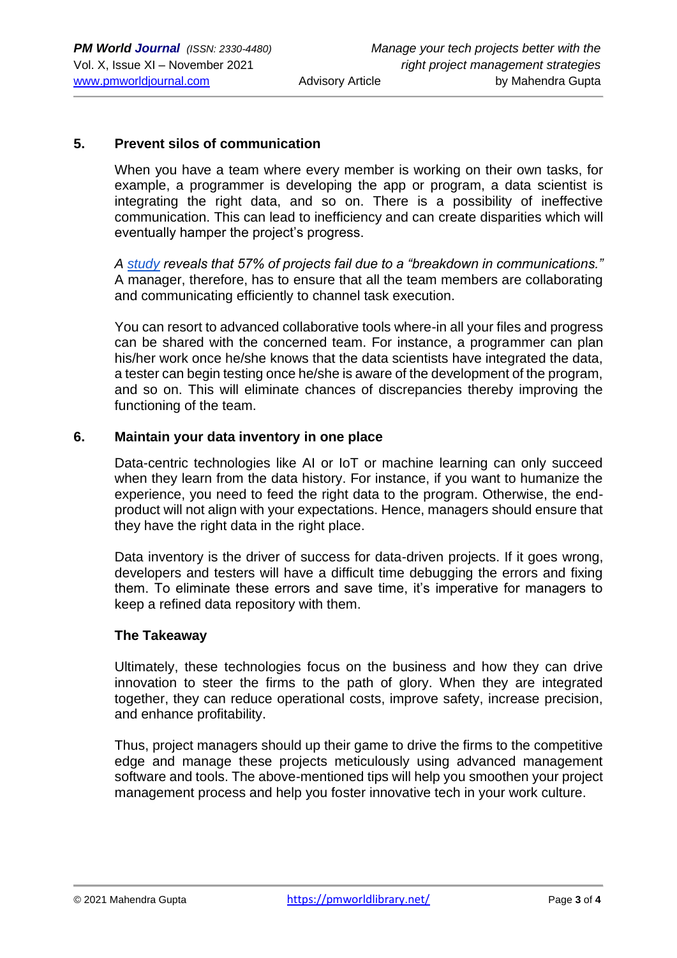#### **5. Prevent silos of communication**

When you have a team where every member is working on their own tasks, for example, a programmer is developing the app or program, a data scientist is integrating the right data, and so on. There is a possibility of ineffective communication. This can lead to inefficiency and can create disparities which will eventually hamper the project's progress.

*A [study](https://www.researchgate.net/publication/312040736_Project_success_and_new_ventures) reveals that 57% of projects fail due to a "breakdown in communications."* A manager, therefore, has to ensure that all the team members are collaborating and communicating efficiently to channel task execution.

You can resort to advanced collaborative tools where-in all your files and progress can be shared with the concerned team. For instance, a programmer can plan his/her work once he/she knows that the data scientists have integrated the data, a tester can begin testing once he/she is aware of the development of the program, and so on. This will eliminate chances of discrepancies thereby improving the functioning of the team.

#### **6. Maintain your data inventory in one place**

Data-centric technologies like AI or IoT or machine learning can only succeed when they learn from the data history. For instance, if you want to humanize the experience, you need to feed the right data to the program. Otherwise, the endproduct will not align with your expectations. Hence, managers should ensure that they have the right data in the right place.

Data inventory is the driver of success for data-driven projects. If it goes wrong, developers and testers will have a difficult time debugging the errors and fixing them. To eliminate these errors and save time, it's imperative for managers to keep a refined data repository with them.

#### **The Takeaway**

Ultimately, these technologies focus on the business and how they can drive innovation to steer the firms to the path of glory. When they are integrated together, they can reduce operational costs, improve safety, increase precision, and enhance profitability.

Thus, project managers should up their game to drive the firms to the competitive edge and manage these projects meticulously using advanced management software and tools. The above-mentioned tips will help you smoothen your project management process and help you foster innovative tech in your work culture.